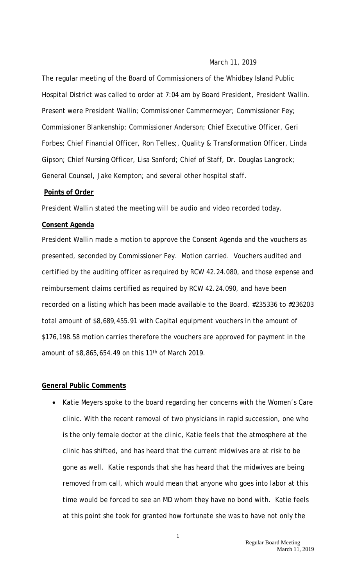### March 11, 2019

The regular meeting of the Board of Commissioners of the Whidbey Island Public Hospital District was called to order at 7:04 am by Board President, President Wallin. Present were President Wallin; Commissioner Cammermeyer; Commissioner Fey; Commissioner Blankenship; Commissioner Anderson; Chief Executive Officer, Geri Forbes; Chief Financial Officer, Ron Telles;, Quality & Transformation Officer, Linda Gipson; Chief Nursing Officer, Lisa Sanford; Chief of Staff, Dr. Douglas Langrock; General Counsel, Jake Kempton; and several other hospital staff.

### **Points of Order**

President Wallin stated the meeting will be audio and video recorded today.

#### **Consent Agenda**

President Wallin made a motion to approve the Consent Agenda and the vouchers as presented, seconded by Commissioner Fey. Motion carried. Vouchers audited and certified by the auditing officer as required by RCW 42.24.080, and those expense and reimbursement claims certified as required by RCW 42.24.090, and have been recorded on a listing which has been made available to the Board. #235336 to #236203 total amount of \$8,689,455.91 with Capital equipment vouchers in the amount of \$176,198.58 motion carries therefore the vouchers are approved for payment in the amount of \$8,865,654.49 on this 11<sup>th</sup> of March 2019.

#### **General Public Comments**

• Katie Meyers spoke to the board regarding her concerns with the Women's Care clinic. With the recent removal of two physicians in rapid succession, one who is the only female doctor at the clinic, Katie feels that the atmosphere at the clinic has shifted, and has heard that the current midwives are at risk to be gone as well. Katie responds that she has heard that the midwives are being removed from call, which would mean that anyone who goes into labor at this time would be forced to see an MD whom they have no bond with. Katie feels at this point she took for granted how fortunate she was to have not only the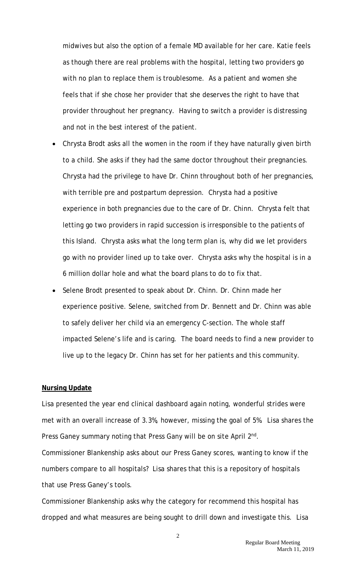midwives but also the option of a female MD available for her care. Katie feels as though there are real problems with the hospital, letting two providers go with no plan to replace them is troublesome. As a patient and women she feels that if she chose her provider that she deserves the right to have that provider throughout her pregnancy. Having to switch a provider is distressing and not in the best interest of the patient.

- Chrysta Brodt asks all the women in the room if they have naturally given birth to a child. She asks if they had the same doctor throughout their pregnancies. Chrysta had the privilege to have Dr. Chinn throughout both of her pregnancies, with terrible pre and postpartum depression. Chrysta had a positive experience in both pregnancies due to the care of Dr. Chinn. Chrysta felt that letting go two providers in rapid succession is irresponsible to the patients of this Island. Chrysta asks what the long term plan is, why did we let providers go with no provider lined up to take over. Chrysta asks why the hospital is in a 6 million dollar hole and what the board plans to do to fix that.
- Selene Brodt presented to speak about Dr. Chinn. Dr. Chinn made her experience positive. Selene, switched from Dr. Bennett and Dr. Chinn was able to safely deliver her child via an emergency C-section. The whole staff impacted Selene's life and is caring. The board needs to find a new provider to live up to the legacy Dr. Chinn has set for her patients and this community.

#### **Nursing Update**

Lisa presented the year end clinical dashboard again noting, wonderful strides were met with an overall increase of 3.3%, however, missing the goal of 5%. Lisa shares the Press Ganey summary noting that Press Gany will be on site April 2nd.

Commissioner Blankenship asks about our Press Ganey scores, wanting to know if the numbers compare to all hospitals? Lisa shares that this is a repository of hospitals that use Press Ganey's tools.

Commissioner Blankenship asks why the category for recommend this hospital has dropped and what measures are being sought to drill down and investigate this. Lisa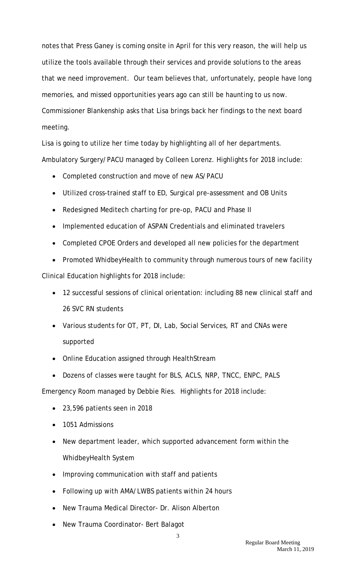notes that Press Ganey is coming onsite in April for this very reason, the will help us utilize the tools available through their services and provide solutions to the areas that we need improvement. Our team believes that, unfortunately, people have long memories, and missed opportunities years ago can still be haunting to us now. Commissioner Blankenship asks that Lisa brings back her findings to the next board meeting.

Lisa is going to utilize her time today by highlighting all of her departments. Ambulatory Surgery/PACU managed by Colleen Lorenz. Highlights for 2018 include:

- Completed construction and move of new AS/PACU
- Utilized cross-trained staff to ED, Surgical pre-assessment and OB Units
- Redesigned Meditech charting for pre-op, PACU and Phase II
- Implemented education of ASPAN Credentials and eliminated travelers
- Completed CPOE Orders and developed all new policies for the department
- Promoted WhidbeyHealth to community through numerous tours of new facility

Clinical Education highlights for 2018 include:

- 12 successful sessions of clinical orientation: including 88 new clinical staff and 26 SVC RN students
- Various students for OT, PT, DI, Lab, Social Services, RT and CNAs were supported
- Online Education assigned through HealthStream
- Dozens of classes were taught for BLS, ACLS, NRP, TNCC, ENPC, PALS

Emergency Room managed by Debbie Ries. Highlights for 2018 include:

- 23,596 patients seen in 2018
- 1051 Admissions
- New department leader, which supported advancement form within the WhidbeyHealth System
- Improving communication with staff and patients
- Following up with AMA/LWBS patients within 24 hours
- New Trauma Medical Director- Dr. Alison Alberton
- New Trauma Coordinator- Bert Balagot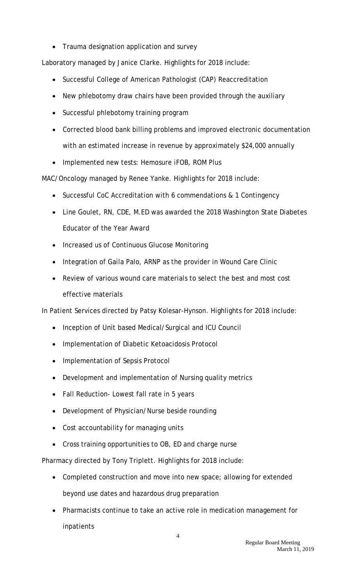• Trauma designation application and survey

Laboratory managed by Janice Clarke. Highlights for 2018 include:

- Successful College of American Pathologist (CAP) Reaccreditation
- New phlebotomy draw chairs have been provided through the auxiliary
- Successful phlebotomy training program
- Corrected blood bank billing problems and improved electronic documentation with an estimated increase in revenue by approximately \$24,000 annually
- Implemented new tests: Hemosure iFOB, ROM Plus

MAC/Oncology managed by Renee Yanke. Highlights for 2018 include:

- Successful CoC Accreditation with 6 commendations & 1 Contingency
- Line Goulet, RN, CDE, M.ED was awarded the 2018 Washington State Diabetes Educator of the Year Award
- Increased us of Continuous Glucose Monitoring
- Integration of Gaila Palo, ARNP as the provider in Wound Care Clinic
- Review of various wound care materials to select the best and most cost effective materials

In Patient Services directed by Patsy Kolesar-Hynson. Highlights for 2018 include:

- Inception of Unit based Medical/Surgical and ICU Council
- Implementation of Diabetic Ketoacidosis Protocol
- Implementation of Sepsis Protocol
- Development and implementation of Nursing quality metrics
- Fall Reduction- Lowest fall rate in 5 years
- Development of Physician/Nurse beside rounding
- Cost accountability for managing units
- Cross training opportunities to OB, ED and charge nurse

Pharmacy directed by Tony Triplett. Highlights for 2018 include:

- Completed construction and move into new space; allowing for extended beyond use dates and hazardous drug preparation
- Pharmacists continue to take an active role in medication management for inpatients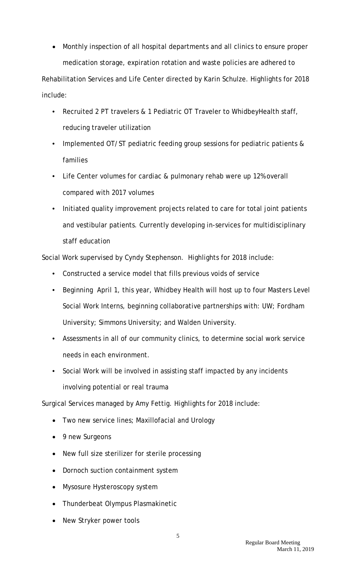• Monthly inspection of all hospital departments and all clinics to ensure proper medication storage, expiration rotation and waste policies are adhered to Rehabilitation Services and Life Center directed by Karin Schulze. Highlights for 2018 include:

- Recruited 2 PT travelers & 1 Pediatric OT Traveler to WhidbeyHealth staff, reducing traveler utilization
- Implemented OT/ST pediatric feeding group sessions for pediatric patients & families
- Life Center volumes for cardiac & pulmonary rehab were up 12% overall compared with 2017 volumes
- Initiated quality improvement projects related to care for total joint patients and vestibular patients. Currently developing in-services for multidisciplinary staff education

Social Work supervised by Cyndy Stephenson. Highlights for 2018 include:

- Constructed a service model that fills previous voids of service
- Beginning April 1, this year, Whidbey Health will host up to four Masters Level Social Work Interns, beginning collaborative partnerships with: UW; Fordham University; Simmons University; and Walden University.
- Assessments in all of our community clinics, to determine social work service needs in each environment.
- Social Work will be involved in assisting staff impacted by any incidents involving potential or real trauma

Surgical Services managed by Amy Fettig. Highlights for 2018 include:

- Two new service lines; Maxillofacial and Urology
- 9 new Surgeons
- New full size sterilizer for sterile processing
- Dornoch suction containment system
- Mysosure Hysteroscopy system
- Thunderbeat Olympus Plasmakinetic
- New Stryker power tools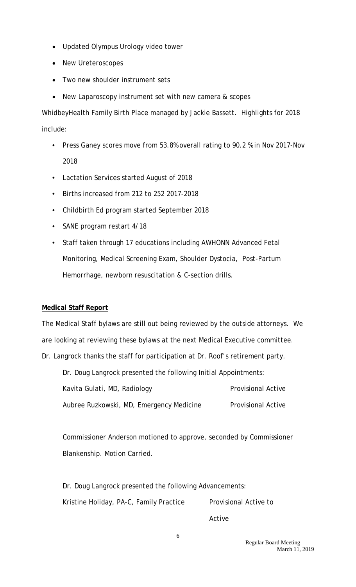- Updated Olympus Urology video tower
- New Ureteroscopes
- Two new shoulder instrument sets
- New Laparoscopy instrument set with new camera & scopes

WhidbeyHealth Family Birth Place managed by Jackie Bassett. Highlights for 2018 include:

- Press Ganey scores move from 53.8% overall rating to 90.2 % in Nov 2017-Nov 2018
- Lactation Services started August of 2018
- Births increased from 212 to 252 2017-2018
- Childbirth Ed program started September 2018
- SANE program restart 4/18
- Staff taken through 17 educations including AWHONN Advanced Fetal Monitoring, Medical Screening Exam, Shoulder Dystocia, Post-Partum Hemorrhage, newborn resuscitation & C-section drills.

### **Medical Staff Report**

The Medical Staff bylaws are still out being reviewed by the outside attorneys. We are looking at reviewing these bylaws at the next Medical Executive committee. Dr. Langrock thanks the staff for participation at Dr. Roof's retirement party.

Dr. Doug Langrock presented the following Initial Appointments: Kavita Gulati, MD, Radiology **Provisional Active** Aubree Ruzkowski, MD, Emergency Medicine Provisional Active

Commissioner Anderson motioned to approve, seconded by Commissioner Blankenship. Motion Carried.

Dr. Doug Langrock presented the following Advancements: Kristine Holiday, PA-C, Family Practice Provisional Active to

Active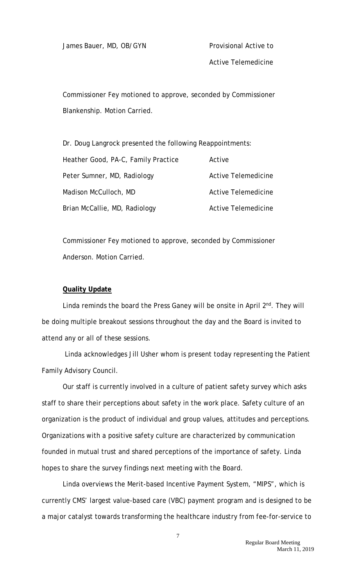James Bauer, MD, OB/GYN Provisional Active to

Active Telemedicine

Commissioner Fey motioned to approve, seconded by Commissioner Blankenship. Motion Carried.

Dr. Doug Langrock presented the following Reappointments: Heather Good, PA-C, Family Practice Active Peter Sumner, MD, Radiology and Active Telemedicine Madison McCulloch, MD Active Telemedicine Brian McCallie, MD, Radiology **Active Telemedicine** 

Commissioner Fey motioned to approve, seconded by Commissioner Anderson. Motion Carried.

### **Quality Update**

Linda reminds the board the Press Ganey will be onsite in April 2<sup>nd</sup>. They will be doing multiple breakout sessions throughout the day and the Board is invited to attend any or all of these sessions.

Linda acknowledges Jill Usher whom is present today representing the Patient Family Advisory Council.

Our staff is currently involved in a culture of patient safety survey which asks staff to share their perceptions about safety in the work place. Safety culture of an organization is the product of individual and group values, attitudes and perceptions. Organizations with a positive safety culture are characterized by communication founded in mutual trust and shared perceptions of the importance of safety. Linda hopes to share the survey findings next meeting with the Board.

Linda overviews the Merit-based Incentive Payment System, "MIPS", which is currently CMS' largest value-based care (VBC) payment program and is designed to be a major catalyst towards transforming the healthcare industry from fee-for-service to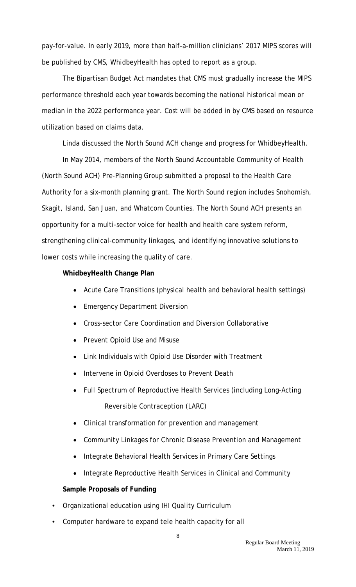pay-for-value. In early 2019, more than half-a-million clinicians' 2017 MIPS scores will be published by CMS, WhidbeyHealth has opted to report as a group.

The Bipartisan Budget Act mandates that CMS must gradually increase the [MIPS](https://www.saignite.com/industry-expertise/quality-payment-program/mips-education/10-faqs-about-mips/)  [performance threshold](https://www.saignite.com/industry-expertise/quality-payment-program/mips-education/10-faqs-about-mips/) each year towards becoming the national historical mean or median in the 2022 performance year. Cost will be added in by CMS based on resource utilization based on claims data.

Linda discussed the North Sound ACH change and progress for WhidbeyHealth.

In May 2014, members of the North Sound Accountable Community of Health (North Sound ACH) Pre-Planning Group submitted a proposal to the Health Care Authority for a six-month planning grant. The North Sound region includes Snohomish, Skagit, Island, San Juan, and Whatcom Counties. The North Sound ACH presents an opportunity for a multi-sector voice for health and health care system reform, strengthening clinical-community linkages, and identifying innovative solutions to lower costs while increasing the quality of care.

### **WhidbeyHealth Change Plan**

- Acute Care Transitions (physical health and behavioral health settings)
- Emergency Department Diversion
- Cross-sector Care Coordination and Diversion Collaborative
- Prevent Opioid Use and Misuse
- Link Individuals with Opioid Use Disorder with Treatment
- Intervene in Opioid Overdoses to Prevent Death
- Full Spectrum of Reproductive Health Services (including Long-Acting Reversible Contraception (LARC)
- Clinical transformation for prevention and management
- Community Linkages for Chronic Disease Prevention and Management
- Integrate Behavioral Health Services in Primary Care Settings
- Integrate Reproductive Health Services in Clinical and Community

### **Sample Proposals of Funding**

- Organizational education using IHI Quality Curriculum
- Computer hardware to expand tele health capacity for all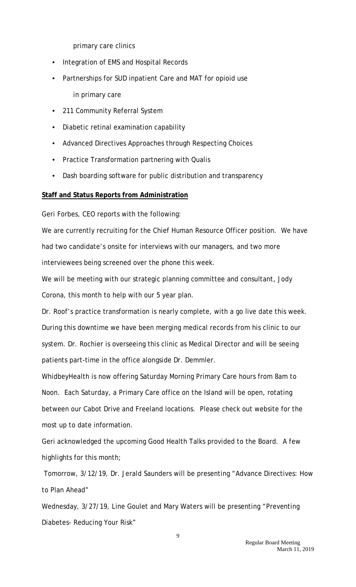primary care clinics

- Integration of EMS and Hospital Records
- Partnerships for SUD inpatient Care and MAT for opioid use in primary care
- 211 Community Referral System
- Diabetic retinal examination capability
- Advanced Directives Approaches through Respecting Choices
- Practice Transformation partnering with Qualis
- Dash boarding software for public distribution and transparency

## **Staff and Status Reports from Administration**

Geri Forbes, CEO reports with the following:

We are currently recruiting for the Chief Human Resource Officer position. We have had two candidate's onsite for interviews with our managers, and two more interviewees being screened over the phone this week.

We will be meeting with our strategic planning committee and consultant, Jody Corona, this month to help with our 5 year plan.

Dr. Roof's practice transformation is nearly complete, with a go live date this week. During this downtime we have been merging medical records from his clinic to our system. Dr. Rochier is overseeing this clinic as Medical Director and will be seeing patients part-time in the office alongside Dr. Demmler.

WhidbeyHealth is now offering Saturday Morning Primary Care hours from 8am to Noon. Each Saturday, a Primary Care office on the Island will be open, rotating between our Cabot Drive and Freeland locations. Please check out website for the most up to date information.

Geri acknowledged the upcoming Good Health Talks provided to the Board. A few highlights for this month;

Tomorrow, 3/12/19, Dr. Jerald Saunders will be presenting "Advance Directives: How to Plan Ahead"

Wednesday, 3/27/19, Line Goulet and Mary Waters will be presenting "Preventing Diabetes- Reducing Your Risk"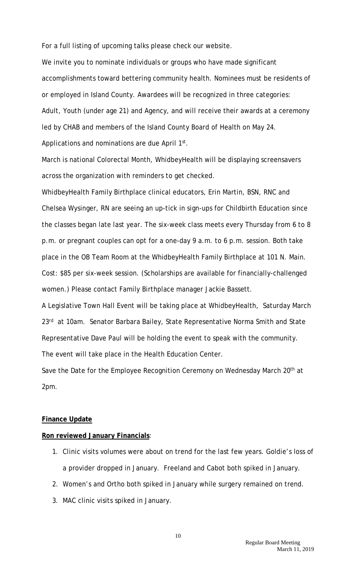For a full listing of upcoming talks please check our website.

We invite you to nominate individuals or groups who have made significant accomplishments toward bettering community health. Nominees must be residents of or employed in Island County. Awardees will be recognized in three categories: Adult, Youth (under age 21) and Agency, and will receive their awards at a ceremony led by CHAB and members of the Island County Board of Health on May 24. Applications and nominations are due April 1st.

March is national Colorectal Month, WhidbeyHealth will be displaying screensavers across the organization with reminders to get checked.

WhidbeyHealth Family Birthplace clinical educators, Erin Martin, BSN, RNC and Chelsea Wysinger, RN are seeing an up-tick in sign-ups for Childbirth Education since the classes began late last year. The six-week class meets every Thursday from 6 to 8 p.m. or pregnant couples can opt for a one-day 9 a.m. to 6 p.m. session. Both take place in the OB Team Room at the WhidbeyHealth Family Birthplace at 101 N. Main. Cost: \$85 per six-week session. (Scholarships are available for financially-challenged women.) Please contact Family Birthplace manager Jackie Bassett.

A Legislative Town Hall Event will be taking place at WhidbeyHealth, Saturday March 23<sup>rd</sup> at 10am. Senator Barbara Bailey, State Representative Norma Smith and State Representative Dave Paul will be holding the event to speak with the community. The event will take place in the Health Education Center.

Save the Date for the Employee Recognition Ceremony on Wednesday March 20<sup>th</sup> at 2pm.

### **Finance Update**

### **Ron reviewed January Financials**:

- 1. Clinic visits volumes were about on trend for the last few years. Goldie's loss of a provider dropped in January. Freeland and Cabot both spiked in January.
- 2. Women's and Ortho both spiked in January while surgery remained on trend.
- 3. MAC clinic visits spiked in January.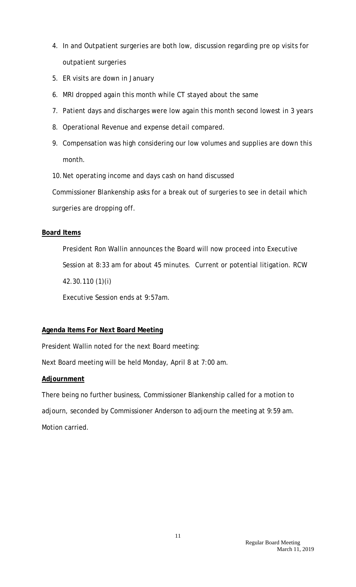- 4. In and Outpatient surgeries are both low, discussion regarding pre op visits for outpatient surgeries
- 5. ER visits are down in January
- 6. MRI dropped again this month while CT stayed about the same
- 7. Patient days and discharges were low again this month second lowest in 3 years
- 8. Operational Revenue and expense detail compared.
- 9. Compensation was high considering our low volumes and supplies are down this month.
- 10.Net operating income and days cash on hand discussed

Commissioner Blankenship asks for a break out of surgeries to see in detail which surgeries are dropping off.

## **Board Items**

President Ron Wallin announces the Board will now proceed into Executive Session at 8:33 am for about 45 minutes. Current or potential litigation. RCW 42.30.110 (1)(i)

Executive Session ends at 9:57am.

# **Agenda Items For Next Board Meeting**

President Wallin noted for the next Board meeting:

Next Board meeting will be held Monday, April 8 at 7:00 am.

# **Adjournment**

There being no further business, Commissioner Blankenship called for a motion to adjourn, seconded by Commissioner Anderson to adjourn the meeting at 9:59 am. Motion carried.